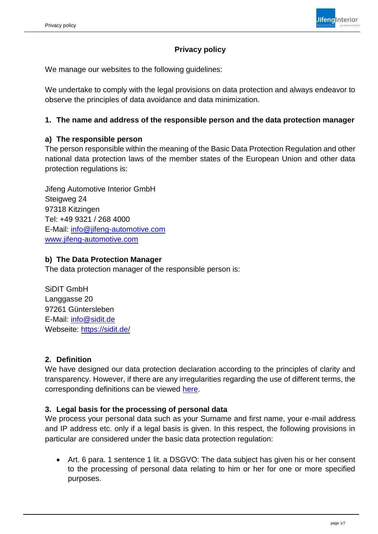# **Jifeng Interior**

# **Privacy policy**

We manage our websites to the following guidelines:

We undertake to comply with the legal provisions on data protection and always endeavor to observe the principles of data avoidance and data minimization.

#### **1. The name and address of the responsible person and the data protection manager**

#### **a) The responsible person**

The person responsible within the meaning of the Basic Data Protection Regulation and other national data protection laws of the member states of the European Union and other data protection regulations is:

Jifeng Automotive Interior GmbH Steigweg 24 97318 Kitzingen Tel: +49 9321 / 268 4000 E-Mail: [info@jifeng-automotive.com](mailto:info@jifeng-automotive.com) [www.jifeng-automotive.com](http://www.jifeng-automotive.com/)

#### **b) The Data Protection Manager**

The data protection manager of the responsible person is:

SiDIT GmbH Langgasse 20 97261 Güntersleben E-Mail: [info@sidit.de](mailto:info@sidit.de) Webseite:<https://sidit.de/>

#### **2. Definition**

We have designed our data protection declaration according to the principles of clarity and transparency. However, if there are any irregularities regarding the use of different terms, the corresponding definitions can be viewed [here.](https://dsgvo-gesetz.de/art-4-dsgvo/)

#### **3. Legal basis for the processing of personal data**

We process your personal data such as your Surname and first name, your e-mail address and IP address etc. only if a legal basis is given. In this respect, the following provisions in particular are considered under the basic data protection regulation:

• Art. 6 para. 1 sentence 1 lit. a DSGVO: The data subject has given his or her consent to the processing of personal data relating to him or her for one or more specified purposes.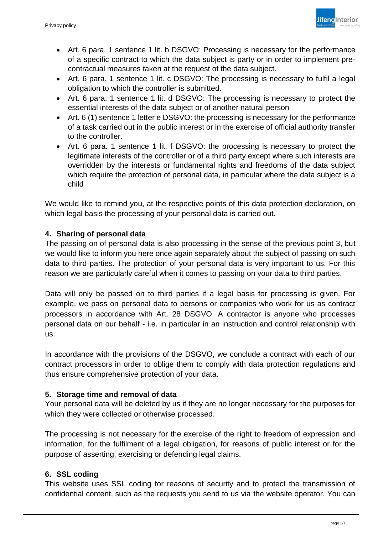

- Art. 6 para. 1 sentence 1 lit. b DSGVO: Processing is necessary for the performance of a specific contract to which the data subject is party or in order to implement precontractual measures taken at the request of the data subject.
- Art. 6 para. 1 sentence 1 lit. c DSGVO: The processing is necessary to fulfil a legal obligation to which the controller is submitted.
- Art. 6 para. 1 sentence 1 lit. d DSGVO: The processing is necessary to protect the essential interests of the data subject or of another natural person
- Art. 6 (1) sentence 1 letter e DSGVO: the processing is necessary for the performance of a task carried out in the public interest or in the exercise of official authority transfer to the controller.
- Art. 6 para. 1 sentence 1 lit. f DSGVO: the processing is necessary to protect the legitimate interests of the controller or of a third party except where such interests are overridden by the interests or fundamental rights and freedoms of the data subject which require the protection of personal data, in particular where the data subject is a child

We would like to remind you, at the respective points of this data protection declaration, on which legal basis the processing of your personal data is carried out.

# **4. Sharing of personal data**

The passing on of personal data is also processing in the sense of the previous point 3, but we would like to inform you here once again separately about the subject of passing on such data to third parties. The protection of your personal data is very important to us. For this reason we are particularly careful when it comes to passing on your data to third parties.

Data will only be passed on to third parties if a legal basis for processing is given. For example, we pass on personal data to persons or companies who work for us as contract processors in accordance with Art. 28 DSGVO. A contractor is anyone who processes personal data on our behalf - i.e. in particular in an instruction and control relationship with us.

In accordance with the provisions of the DSGVO, we conclude a contract with each of our contract processors in order to oblige them to comply with data protection regulations and thus ensure comprehensive protection of your data.

# **5. Storage time and removal of data**

Your personal data will be deleted by us if they are no longer necessary for the purposes for which they were collected or otherwise processed.

The processing is not necessary for the exercise of the right to freedom of expression and information, for the fulfilment of a legal obligation, for reasons of public interest or for the purpose of asserting, exercising or defending legal claims.

# **6. SSL coding**

This website uses SSL coding for reasons of security and to protect the transmission of confidential content, such as the requests you send to us via the website operator. You can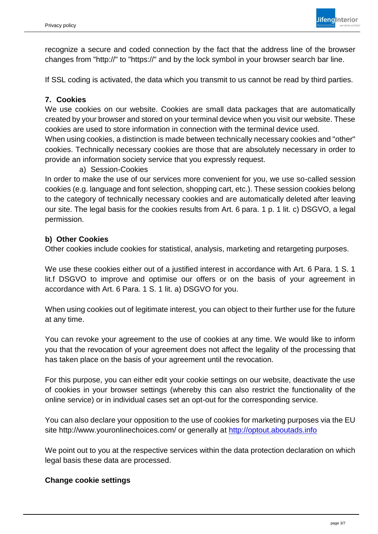

recognize a secure and coded connection by the fact that the address line of the browser changes from "http://" to "https://" and by the lock symbol in your browser search bar line.

If SSL coding is activated, the data which you transmit to us cannot be read by third parties.

### **7. Cookies**

We use cookies on our website. Cookies are small data packages that are automatically created by your browser and stored on your terminal device when you visit our website. These cookies are used to store information in connection with the terminal device used.

When using cookies, a distinction is made between technically necessary cookies and "other" cookies. Technically necessary cookies are those that are absolutely necessary in order to provide an information society service that you expressly request.

#### a) Session-Cookies

In order to make the use of our services more convenient for you, we use so-called session cookies (e.g. language and font selection, shopping cart, etc.). These session cookies belong to the category of technically necessary cookies and are automatically deleted after leaving our site. The legal basis for the cookies results from Art. 6 para. 1 p. 1 lit. c) DSGVO, a legal permission.

#### **b) Other Cookies**

Other cookies include cookies for statistical, analysis, marketing and retargeting purposes.

We use these cookies either out of a justified interest in accordance with Art. 6 Para. 1 S. 1 lit.f DSGVO to improve and optimise our offers or on the basis of your agreement in accordance with Art. 6 Para. 1 S. 1 lit. a) DSGVO for you.

When using cookies out of legitimate interest, you can object to their further use for the future at any time.

You can revoke your agreement to the use of cookies at any time. We would like to inform you that the revocation of your agreement does not affect the legality of the processing that has taken place on the basis of your agreement until the revocation.

For this purpose, you can either edit your cookie settings on our website, deactivate the use of cookies in your browser settings (whereby this can also restrict the functionality of the online service) or in individual cases set an opt-out for the corresponding service.

You can also declare your opposition to the use of cookies for marketing purposes via the EU site http://www.youronlinechoices.com/ or generally at [http://optout.aboutads.info](http://optout.aboutads.info/)

We point out to you at the respective services within the data protection declaration on which legal basis these data are processed.

#### **Change cookie settings**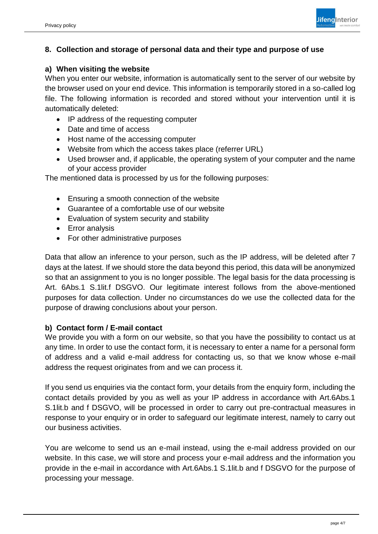# **8. Collection and storage of personal data and their type and purpose of use**

#### **a) When visiting the website**

When you enter our website, information is automatically sent to the server of our website by the browser used on your end device. This information is temporarily stored in a so-called log file. The following information is recorded and stored without your intervention until it is automatically deleted:

- IP address of the requesting computer
- Date and time of access
- Host name of the accessing computer
- Website from which the access takes place (referrer URL)
- Used browser and, if applicable, the operating system of your computer and the name of your access provider

The mentioned data is processed by us for the following purposes:

- Ensuring a smooth connection of the website
- Guarantee of a comfortable use of our website
- Evaluation of system security and stability
- Error analysis
- For other administrative purposes

Data that allow an inference to your person, such as the IP address, will be deleted after 7 days at the latest. If we should store the data beyond this period, this data will be anonymized so that an assignment to you is no longer possible. The legal basis for the data processing is Art. 6Abs.1 S.1lit.f DSGVO. Our legitimate interest follows from the above-mentioned purposes for data collection. Under no circumstances do we use the collected data for the purpose of drawing conclusions about your person.

#### **b) Contact form / E-mail contact**

We provide you with a form on our website, so that you have the possibility to contact us at any time. In order to use the contact form, it is necessary to enter a name for a personal form of address and a valid e-mail address for contacting us, so that we know whose e-mail address the request originates from and we can process it.

If you send us enquiries via the contact form, your details from the enquiry form, including the contact details provided by you as well as your IP address in accordance with Art.6Abs.1 S.1lit.b and f DSGVO, will be processed in order to carry out pre-contractual measures in response to your enquiry or in order to safeguard our legitimate interest, namely to carry out our business activities.

You are welcome to send us an e-mail instead, using the e-mail address provided on our website. In this case, we will store and process your e-mail address and the information you provide in the e-mail in accordance with Art.6Abs.1 S.1lit.b and f DSGVO for the purpose of processing your message.

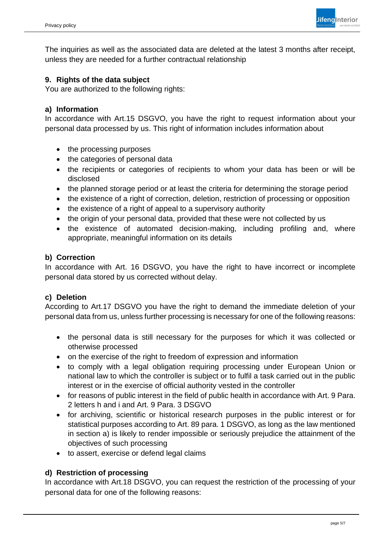

The inquiries as well as the associated data are deleted at the latest 3 months after receipt, unless they are needed for a further contractual relationship

#### **9. Rights of the data subject**

You are authorized to the following rights:

#### **a) Information**

In accordance with Art.15 DSGVO, you have the right to request information about your personal data processed by us. This right of information includes information about

- the processing purposes
- the categories of personal data
- the recipients or categories of recipients to whom your data has been or will be disclosed
- the planned storage period or at least the criteria for determining the storage period
- the existence of a right of correction, deletion, restriction of processing or opposition
- the existence of a right of appeal to a supervisory authority
- the origin of your personal data, provided that these were not collected by us
- the existence of automated decision-making, including profiling and, where appropriate, meaningful information on its details

#### **b) Correction**

In accordance with Art. 16 DSGVO, you have the right to have incorrect or incomplete personal data stored by us corrected without delay.

#### **c) Deletion**

According to Art.17 DSGVO you have the right to demand the immediate deletion of your personal data from us, unless further processing is necessary for one of the following reasons:

- the personal data is still necessary for the purposes for which it was collected or otherwise processed
- on the exercise of the right to freedom of expression and information
- to comply with a legal obligation requiring processing under European Union or national law to which the controller is subject or to fulfil a task carried out in the public interest or in the exercise of official authority vested in the controller
- for reasons of public interest in the field of public health in accordance with Art. 9 Para. 2 letters h and i and Art. 9 Para. 3 DSGVO
- for archiving, scientific or historical research purposes in the public interest or for statistical purposes according to Art. 89 para. 1 DSGVO, as long as the law mentioned in section a) is likely to render impossible or seriously prejudice the attainment of the objectives of such processing
- to assert, exercise or defend legal claims

#### **d) Restriction of processing**

In accordance with Art.18 DSGVO, you can request the restriction of the processing of your personal data for one of the following reasons: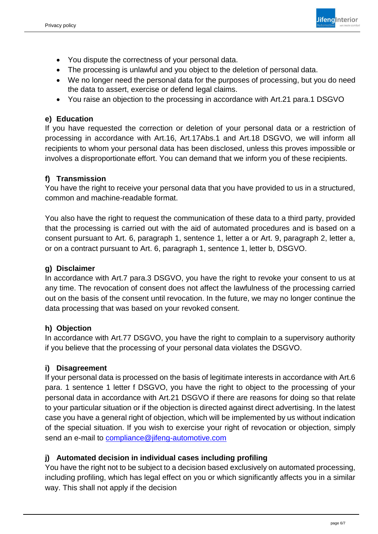

- You dispute the correctness of your personal data.
- The processing is unlawful and you object to the deletion of personal data.
- We no longer need the personal data for the purposes of processing, but you do need the data to assert, exercise or defend legal claims.
- You raise an objection to the processing in accordance with Art.21 para.1 DSGVO

# **e) Education**

If you have requested the correction or deletion of your personal data or a restriction of processing in accordance with Art.16, Art.17Abs.1 and Art.18 DSGVO, we will inform all recipients to whom your personal data has been disclosed, unless this proves impossible or involves a disproportionate effort. You can demand that we inform you of these recipients.

#### **f) Transmission**

You have the right to receive your personal data that you have provided to us in a structured, common and machine-readable format.

You also have the right to request the communication of these data to a third party, provided that the processing is carried out with the aid of automated procedures and is based on a consent pursuant to Art. 6, paragraph 1, sentence 1, letter a or Art. 9, paragraph 2, letter a, or on a contract pursuant to Art. 6, paragraph 1, sentence 1, letter b, DSGVO.

#### **g) Disclaimer**

In accordance with Art.7 para.3 DSGVO, you have the right to revoke your consent to us at any time. The revocation of consent does not affect the lawfulness of the processing carried out on the basis of the consent until revocation. In the future, we may no longer continue the data processing that was based on your revoked consent.

# **h) Objection**

In accordance with Art.77 DSGVO, you have the right to complain to a supervisory authority if you believe that the processing of your personal data violates the DSGVO.

# **i) Disagreement**

If your personal data is processed on the basis of legitimate interests in accordance with Art.6 para. 1 sentence 1 letter f DSGVO, you have the right to object to the processing of your personal data in accordance with Art.21 DSGVO if there are reasons for doing so that relate to your particular situation or if the objection is directed against direct advertising. In the latest case you have a general right of objection, which will be implemented by us without indication of the special situation. If you wish to exercise your right of revocation or objection, simply send an e-mail to [compliance@jifeng-automotive.com](mailto:compliance@jifeng-automotive.com)

# **j) Automated decision in individual cases including profiling**

You have the right not to be subject to a decision based exclusively on automated processing, including profiling, which has legal effect on you or which significantly affects you in a similar way. This shall not apply if the decision